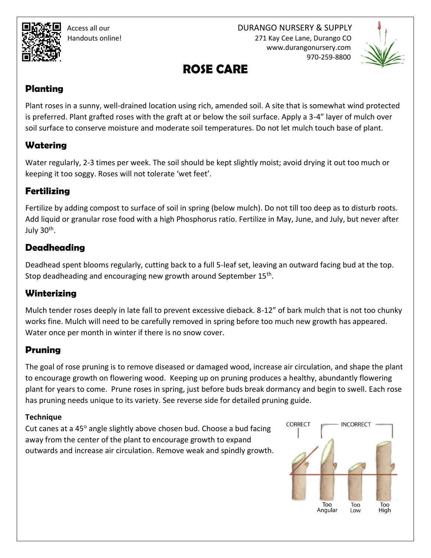Access all our DURANGO NURSERY & SUPPLY Handouts online! 271 Kay Cee Lane, Durango CO www.durangonursery.com 970-259-8800



# **ROSE CARE**

#### **Planting**

Plant roses in a sunny, well-drained location using rich, amended soil. A site that is somewhat wind protected is preferred. Plant grafted roses with the graft at or below the soil surface. Apply a 3-4" layer of mulch over soil surface to conserve moisture and moderate soil temperatures. Do not let mulch touch base of plant.

### **Watering**

Water regularly, 2-3 times per week. The soil should be kept slightly moist; avoid drying it out too much or keeping it too soggy. Roses will not tolerate 'wet feet'.

# **Fertilizing**

Fertilize by adding compost to surface of soil in spring (below mulch). Do not till too deep as to disturb roots. Add liquid or granular rose food with a high Phosphorus ratio. Fertilize in May, June, and July, but never after July 30<sup>th</sup>.

### **Deadheading**

Deadhead spent blooms regularly, cutting back to a full 5-leaf set, leaving an outward facing bud at the top. Stop deadheading and encouraging new growth around September 15<sup>th</sup>.

# **Winterizing**

Mulch tender roses deeply in late fall to prevent excessive dieback. 8-12" of bark mulch that is not too chunky works fine. Mulch will need to be carefully removed in spring before too much new growth has appeared. Water once per month in winter if there is no snow cover.

# **Pruning**

The goal of rose pruning is to remove diseased or damaged wood, increase air circulation, and shape the plant to encourage growth on flowering wood. Keeping up on pruning produces a healthy, abundantly flowering plant for years to come. Prune roses in spring, just before buds break dormancy and begin to swell. Each rose has pruning needs unique to its variety. See reverse side for detailed pruning guide.

#### **Technique**

Cut canes at a  $45^\circ$  angle slightly above chosen bud. Choose a bud facing away from the center of the plant to encourage growth to expand outwards and increase air circulation. Remove weak and spindly growth.